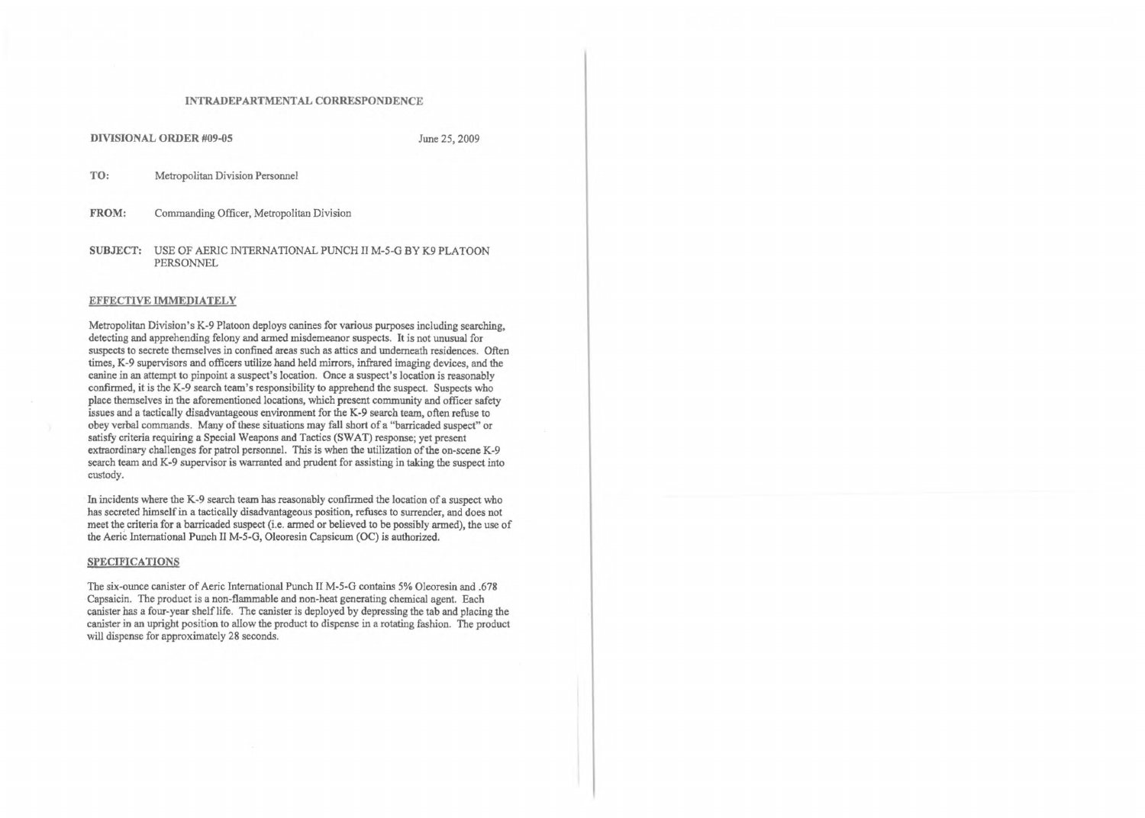#### INTRADEPARTMENTAL CORRESPONDENCE

#### DIVISIONAL ORDER #09-05 June 25, 2009

TO: Metropolitan Division Personnel

FROM: Commanding Officer, Metropolitan Division

SUBJECT: USE OF AER1C INTERNATIONAL PUNCH II M-5-G BY K9 PLATOON PERSONNEL

### EFFECTIVE IMMEDIATELY

Metropolitan Division's K-9 Platoon deploys canines for various purposes including searching, detecting and apprehending felony and armed misdemeanor suspects. It is not unusual for suspects to secrete themselves in confined areas such as attics and underneath residences. Often times, K-9 supervisors and officers utilize hand held mirrors, infrared imaging devices, and the canine in an attempt to pinpoint a suspect's location. Once a suspect's location is reasonably confirmed, it is the K-9 search team's responsibility to apprehend the suspect. Suspects who place themselves in the aforementioned locations, which present community and officer safety issues and a tactically disadvantageous environment for the K-9 search team, often refuse to obey verbal commands. Many of these situations may fall short of a "barricaded suspect" or satisfy criteria requiring a Special Weapons and Tactics (SWAT) response; yet present extraordinary challenges for patrol personnel. This is when the utilization of the on-scene K-9 search team and K-9 supervisor is warranted and prudent for assisting in taking the suspect into custody.

The six-ounce canister of Aeric International Punch II M-5-G contains 5% Oleoresin and .678 Capsaicin. The product is a non-flammable and non-heat generating chemical agent. Each canister has a four-year shelf life. The canister is deployed by depressing the tab and placing the canister in an upright position to allow the product to dispense in a rotating fashion. The product will dispense for approximately 28 seconds.

In incidents where the K-9 search team has reasonably confirmed the location of a suspect who has secreted himself in a tactically disadvantageous position, refuses to surrender, and does not meet the criteria for a barricaded suspect (i.e. armed or believed to be possibly armed), the use of the Aerie International Punch II M-5-G, Oleoresin Capsicum (OC) is authorized.

## SPECIFICATIONS